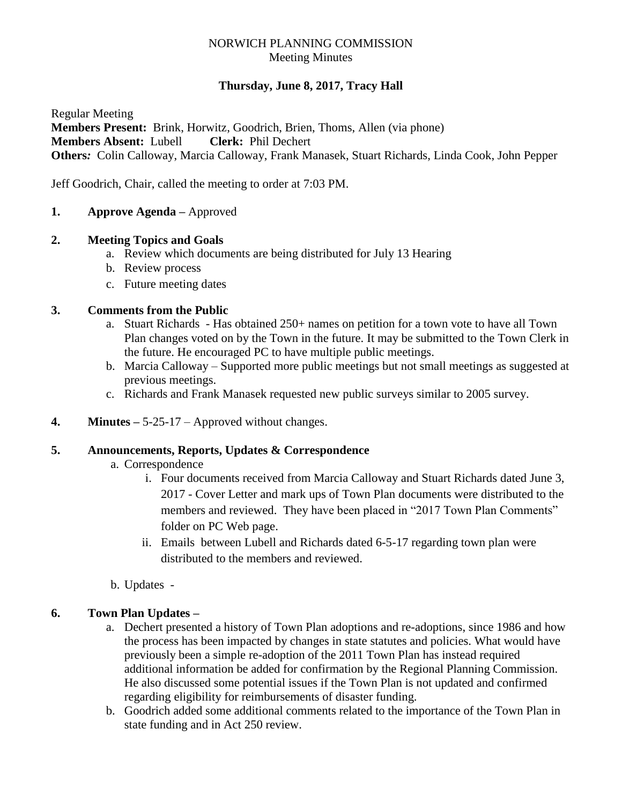## NORWICH PLANNING COMMISSION Meeting Minutes

## **Thursday, June 8, 2017, Tracy Hall**

Regular Meeting **Members Present:** Brink, Horwitz, Goodrich, Brien, Thoms, Allen (via phone) **Members Absent:** Lubell **Clerk:** Phil Dechert **Others***:* Colin Calloway, Marcia Calloway, Frank Manasek, Stuart Richards, Linda Cook, John Pepper

Jeff Goodrich, Chair, called the meeting to order at 7:03 PM.

**1. Approve Agenda –** Approved

### **2. Meeting Topics and Goals**

- a. Review which documents are being distributed for July 13 Hearing
- b. Review process
- c. Future meeting dates

### **3. Comments from the Public**

- a. Stuart Richards Has obtained 250+ names on petition for a town vote to have all Town Plan changes voted on by the Town in the future. It may be submitted to the Town Clerk in the future. He encouraged PC to have multiple public meetings.
- b. Marcia Calloway Supported more public meetings but not small meetings as suggested at previous meetings.
- c. Richards and Frank Manasek requested new public surveys similar to 2005 survey.
- **4. Minutes –** 5-25-17 Approved without changes.

#### **5. Announcements, Reports, Updates & Correspondence**

- a. Correspondence
	- i. Four documents received from Marcia Calloway and Stuart Richards dated June 3, 2017 - Cover Letter and mark ups of Town Plan documents were distributed to the members and reviewed. They have been placed in "2017 Town Plan Comments" folder on PC Web page.
	- ii. Emails between Lubell and Richards dated 6-5-17 regarding town plan were distributed to the members and reviewed.
- b. Updates -

## **6. Town Plan Updates –**

- a. Dechert presented a history of Town Plan adoptions and re-adoptions, since 1986 and how the process has been impacted by changes in state statutes and policies. What would have previously been a simple re-adoption of the 2011 Town Plan has instead required additional information be added for confirmation by the Regional Planning Commission. He also discussed some potential issues if the Town Plan is not updated and confirmed regarding eligibility for reimbursements of disaster funding.
- b. Goodrich added some additional comments related to the importance of the Town Plan in state funding and in Act 250 review.